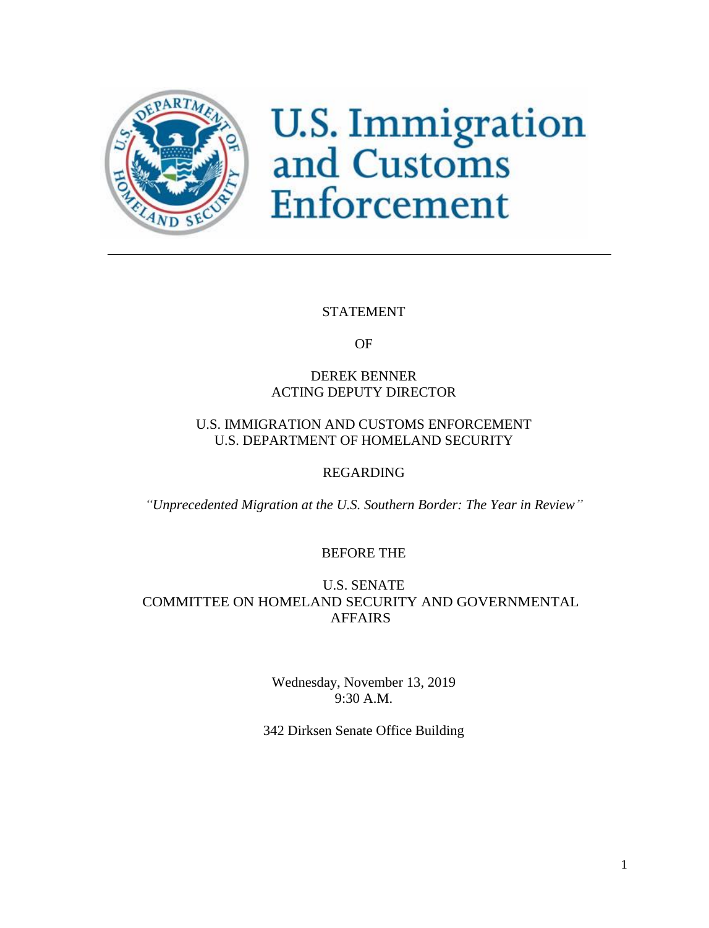

# **U.S. Immigration**<br>and Customs Enforcement

## STATEMENT

OF

# DEREK BENNER ACTING DEPUTY DIRECTOR

# U.S. IMMIGRATION AND CUSTOMS ENFORCEMENT U.S. DEPARTMENT OF HOMELAND SECURITY

# REGARDING

*"Unprecedented Migration at the U.S. Southern Border: The Year in Review"*

# BEFORE THE

## U.S. SENATE COMMITTEE ON HOMELAND SECURITY AND GOVERNMENTAL AFFAIRS

Wednesday, November 13, 2019 9:30 A.M.

342 Dirksen Senate Office Building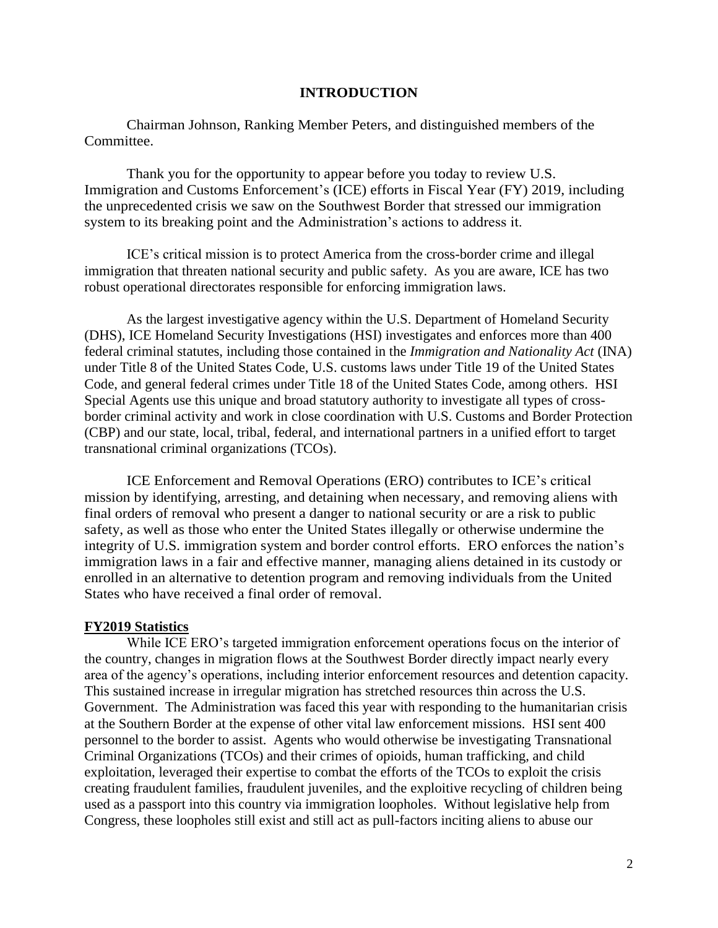## **INTRODUCTION**

Chairman Johnson, Ranking Member Peters, and distinguished members of the Committee.

Thank you for the opportunity to appear before you today to review U.S. Immigration and Customs Enforcement's (ICE) efforts in Fiscal Year (FY) 2019, including the unprecedented crisis we saw on the Southwest Border that stressed our immigration system to its breaking point and the Administration's actions to address it.

ICE's critical mission is to protect America from the cross-border crime and illegal immigration that threaten national security and public safety. As you are aware, ICE has two robust operational directorates responsible for enforcing immigration laws.

As the largest investigative agency within the U.S. Department of Homeland Security (DHS), ICE Homeland Security Investigations (HSI) investigates and enforces more than 400 federal criminal statutes, including those contained in the *Immigration and Nationality Act* (INA) under Title 8 of the United States Code, U.S. customs laws under Title 19 of the United States Code, and general federal crimes under Title 18 of the United States Code, among others. HSI Special Agents use this unique and broad statutory authority to investigate all types of crossborder criminal activity and work in close coordination with U.S. Customs and Border Protection (CBP) and our state, local, tribal, federal, and international partners in a unified effort to target transnational criminal organizations (TCOs).

ICE Enforcement and Removal Operations (ERO) contributes to ICE's critical mission by identifying, arresting, and detaining when necessary, and removing aliens with final orders of removal who present a danger to national security or are a risk to public safety, as well as those who enter the United States illegally or otherwise undermine the integrity of U.S. immigration system and border control efforts. ERO enforces the nation's immigration laws in a fair and effective manner, managing aliens detained in its custody or enrolled in an alternative to detention program and removing individuals from the United States who have received a final order of removal.

#### **FY2019 Statistics**

While ICE ERO's targeted immigration enforcement operations focus on the interior of the country, changes in migration flows at the Southwest Border directly impact nearly every area of the agency's operations, including interior enforcement resources and detention capacity. This sustained increase in irregular migration has stretched resources thin across the U.S. Government. The Administration was faced this year with responding to the humanitarian crisis at the Southern Border at the expense of other vital law enforcement missions. HSI sent 400 personnel to the border to assist. Agents who would otherwise be investigating Transnational Criminal Organizations (TCOs) and their crimes of opioids, human trafficking, and child exploitation, leveraged their expertise to combat the efforts of the TCOs to exploit the crisis creating fraudulent families, fraudulent juveniles, and the exploitive recycling of children being used as a passport into this country via immigration loopholes. Without legislative help from Congress, these loopholes still exist and still act as pull-factors inciting aliens to abuse our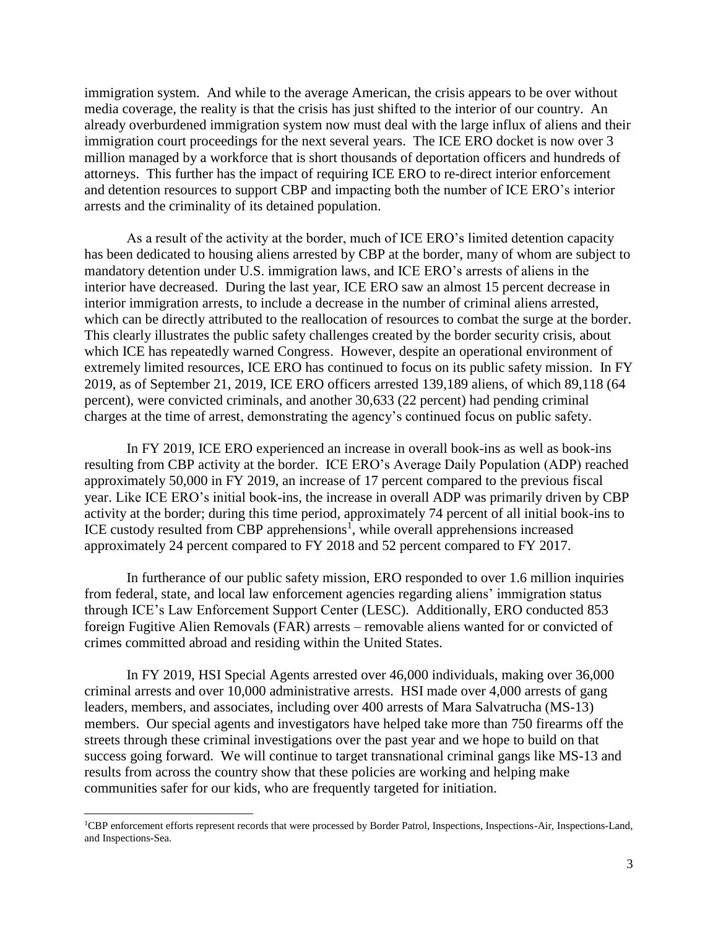immigration system. And while to the average American, the crisis appears to be over without media coverage, the reality is that the crisis has just shifted to the interior of our country. An already overburdened immigration system now must deal with the large influx of aliens and their immigration court proceedings for the next several years. The ICE ERO docket is now over 3 million managed by a workforce that is short thousands of deportation officers and hundreds of attorneys. This further has the impact of requiring ICE ERO to re-direct interior enforcement and detention resources to support CBP and impacting both the number of ICE ERO's interior arrests and the criminality of its detained population.

As a result of the activity at the border, much of ICE ERO's limited detention capacity has been dedicated to housing aliens arrested by CBP at the border, many of whom are subject to mandatory detention under U.S. immigration laws, and ICE ERO's arrests of aliens in the interior have decreased. During the last year, ICE ERO saw an almost 15 percent decrease in interior immigration arrests, to include a decrease in the number of criminal aliens arrested, which can be directly attributed to the reallocation of resources to combat the surge at the border. This clearly illustrates the public safety challenges created by the border security crisis, about which ICE has repeatedly warned Congress. However, despite an operational environment of extremely limited resources, ICE ERO has continued to focus on its public safety mission. In FY 2019, as of September 21, 2019, ICE ERO officers arrested 139,189 aliens, of which 89,118 (64 percent), were convicted criminals, and another 30,633 (22 percent) had pending criminal charges at the time of arrest, demonstrating the agency's continued focus on public safety.

In FY 2019, ICE ERO experienced an increase in overall book-ins as well as book-ins resulting from CBP activity at the border. ICE ERO's Average Daily Population (ADP) reached approximately 50,000 in FY 2019, an increase of 17 percent compared to the previous fiscal year. Like ICE ERO's initial book-ins, the increase in overall ADP was primarily driven by CBP activity at the border; during this time period, approximately 74 percent of all initial book-ins to ICE custody resulted from CBP apprehensions<sup>1</sup>, while overall apprehensions increased approximately 24 percent compared to FY 2018 and 52 percent compared to FY 2017.

In furtherance of our public safety mission, ERO responded to over 1.6 million inquiries from federal, state, and local law enforcement agencies regarding aliens' immigration status through ICE's Law Enforcement Support Center (LESC). Additionally, ERO conducted 853 foreign Fugitive Alien Removals (FAR) arrests – removable aliens wanted for or convicted of crimes committed abroad and residing within the United States.

In FY 2019, HSI Special Agents arrested over 46,000 individuals, making over 36,000 criminal arrests and over 10,000 administrative arrests. HSI made over 4,000 arrests of gang leaders, members, and associates, including over 400 arrests of Mara Salvatrucha (MS-13) members. Our special agents and investigators have helped take more than 750 firearms off the streets through these criminal investigations over the past year and we hope to build on that success going forward. We will continue to target transnational criminal gangs like MS-13 and results from across the country show that these policies are working and helping make communities safer for our kids, who are frequently targeted for initiation.

l

<sup>1</sup>CBP enforcement efforts represent records that were processed by Border Patrol, Inspections, Inspections-Air, Inspections-Land, and Inspections-Sea.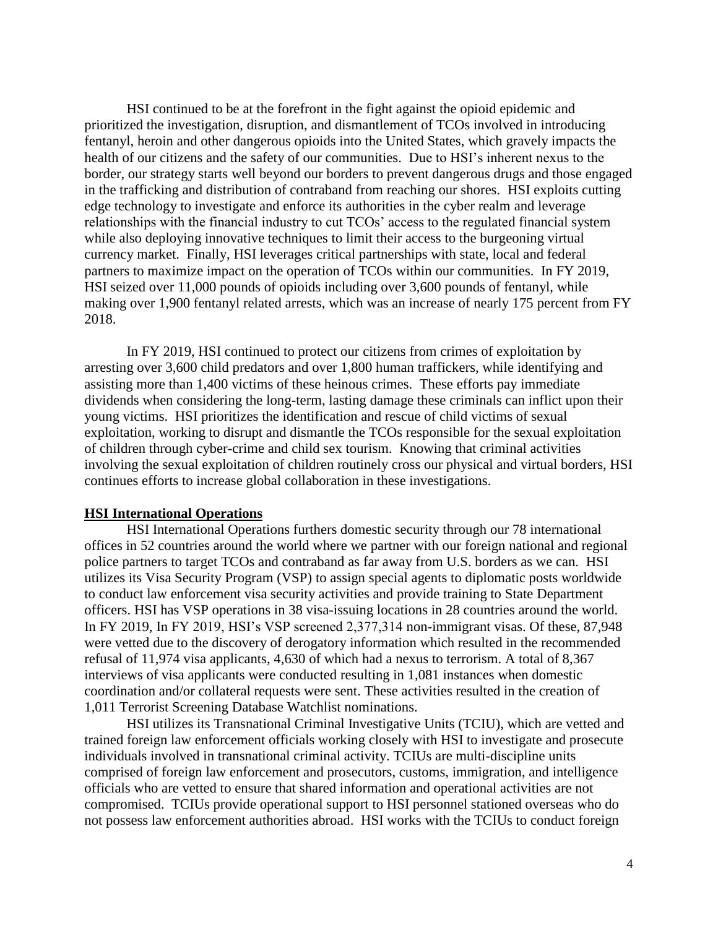HSI continued to be at the forefront in the fight against the opioid epidemic and prioritized the investigation, disruption, and dismantlement of TCOs involved in introducing fentanyl, heroin and other dangerous opioids into the United States, which gravely impacts the health of our citizens and the safety of our communities. Due to HSI's inherent nexus to the border, our strategy starts well beyond our borders to prevent dangerous drugs and those engaged in the trafficking and distribution of contraband from reaching our shores. HSI exploits cutting edge technology to investigate and enforce its authorities in the cyber realm and leverage relationships with the financial industry to cut TCOs' access to the regulated financial system while also deploying innovative techniques to limit their access to the burgeoning virtual currency market. Finally, HSI leverages critical partnerships with state, local and federal partners to maximize impact on the operation of TCOs within our communities. In FY 2019, HSI seized over 11,000 pounds of opioids including over 3,600 pounds of fentanyl, while making over 1,900 fentanyl related arrests, which was an increase of nearly 175 percent from FY 2018.

In FY 2019, HSI continued to protect our citizens from crimes of exploitation by arresting over 3,600 child predators and over 1,800 human traffickers, while identifying and assisting more than 1,400 victims of these heinous crimes. These efforts pay immediate dividends when considering the long-term, lasting damage these criminals can inflict upon their young victims. HSI prioritizes the identification and rescue of child victims of sexual exploitation, working to disrupt and dismantle the TCOs responsible for the sexual exploitation of children through cyber-crime and child sex tourism. Knowing that criminal activities involving the sexual exploitation of children routinely cross our physical and virtual borders, HSI continues efforts to increase global collaboration in these investigations.

#### **HSI International Operations**

HSI International Operations furthers domestic security through our 78 international offices in 52 countries around the world where we partner with our foreign national and regional police partners to target TCOs and contraband as far away from U.S. borders as we can. HSI utilizes its Visa Security Program (VSP) to assign special agents to diplomatic posts worldwide to conduct law enforcement visa security activities and provide training to State Department officers. HSI has VSP operations in 38 visa-issuing locations in 28 countries around the world. In FY 2019, In FY 2019, HSI's VSP screened 2,377,314 non-immigrant visas. Of these, 87,948 were vetted due to the discovery of derogatory information which resulted in the recommended refusal of 11,974 visa applicants, 4,630 of which had a nexus to terrorism. A total of 8,367 interviews of visa applicants were conducted resulting in 1,081 instances when domestic coordination and/or collateral requests were sent. These activities resulted in the creation of 1,011 Terrorist Screening Database Watchlist nominations.

HSI utilizes its Transnational Criminal Investigative Units (TCIU), which are vetted and trained foreign law enforcement officials working closely with HSI to investigate and prosecute individuals involved in transnational criminal activity. TCIUs are multi-discipline units comprised of foreign law enforcement and prosecutors, customs, immigration, and intelligence officials who are vetted to ensure that shared information and operational activities are not compromised. TCIUs provide operational support to HSI personnel stationed overseas who do not possess law enforcement authorities abroad. HSI works with the TCIUs to conduct foreign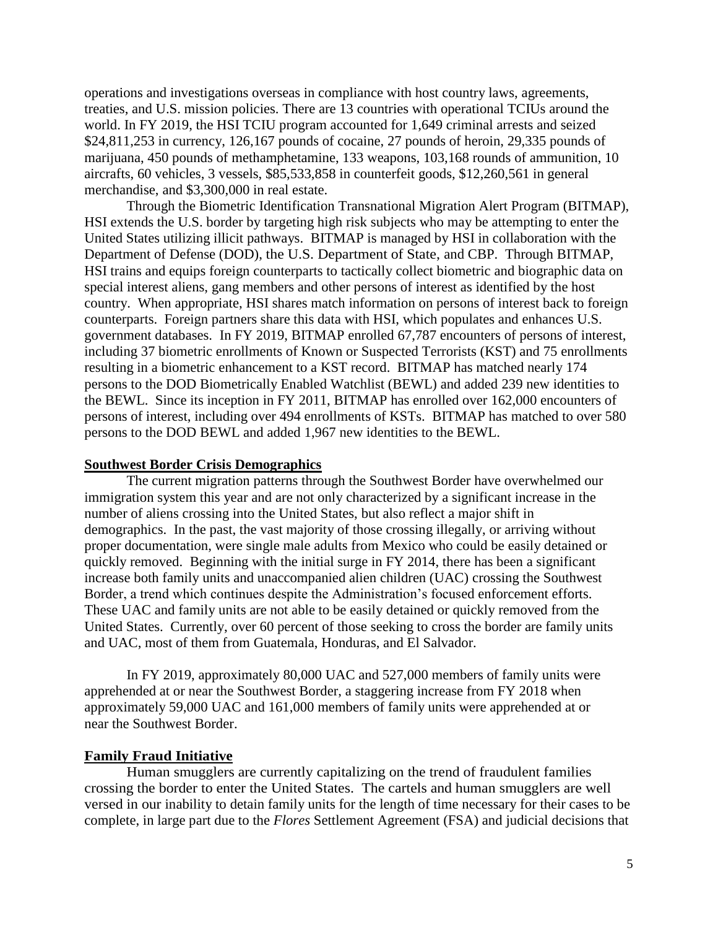operations and investigations overseas in compliance with host country laws, agreements, treaties, and U.S. mission policies. There are 13 countries with operational TCIUs around the world. In FY 2019, the HSI TCIU program accounted for 1,649 criminal arrests and seized \$24,811,253 in currency, 126,167 pounds of cocaine, 27 pounds of heroin, 29,335 pounds of marijuana, 450 pounds of methamphetamine, 133 weapons, 103,168 rounds of ammunition, 10 aircrafts, 60 vehicles, 3 vessels, \$85,533,858 in counterfeit goods, \$12,260,561 in general merchandise, and \$3,300,000 in real estate.

Through the Biometric Identification Transnational Migration Alert Program (BITMAP), HSI extends the U.S. border by targeting high risk subjects who may be attempting to enter the United States utilizing illicit pathways. BITMAP is managed by HSI in collaboration with the Department of Defense (DOD), the U.S. Department of State, and CBP. Through BITMAP, HSI trains and equips foreign counterparts to tactically collect biometric and biographic data on special interest aliens, gang members and other persons of interest as identified by the host country. When appropriate, HSI shares match information on persons of interest back to foreign counterparts. Foreign partners share this data with HSI, which populates and enhances U.S. government databases. In FY 2019, BITMAP enrolled 67,787 encounters of persons of interest, including 37 biometric enrollments of Known or Suspected Terrorists (KST) and 75 enrollments resulting in a biometric enhancement to a KST record. BITMAP has matched nearly 174 persons to the DOD Biometrically Enabled Watchlist (BEWL) and added 239 new identities to the BEWL. Since its inception in FY 2011, BITMAP has enrolled over 162,000 encounters of persons of interest, including over 494 enrollments of KSTs. BITMAP has matched to over 580 persons to the DOD BEWL and added 1,967 new identities to the BEWL.

#### **Southwest Border Crisis Demographics**

The current migration patterns through the Southwest Border have overwhelmed our immigration system this year and are not only characterized by a significant increase in the number of aliens crossing into the United States, but also reflect a major shift in demographics. In the past, the vast majority of those crossing illegally, or arriving without proper documentation, were single male adults from Mexico who could be easily detained or quickly removed. Beginning with the initial surge in FY 2014, there has been a significant increase both family units and unaccompanied alien children (UAC) crossing the Southwest Border, a trend which continues despite the Administration's focused enforcement efforts. These UAC and family units are not able to be easily detained or quickly removed from the United States. Currently, over 60 percent of those seeking to cross the border are family units and UAC, most of them from Guatemala, Honduras, and El Salvador.

In FY 2019, approximately 80,000 UAC and 527,000 members of family units were apprehended at or near the Southwest Border, a staggering increase from FY 2018 when approximately 59,000 UAC and 161,000 members of family units were apprehended at or near the Southwest Border.

#### **Family Fraud Initiative**

Human smugglers are currently capitalizing on the trend of fraudulent families crossing the border to enter the United States. The cartels and human smugglers are well versed in our inability to detain family units for the length of time necessary for their cases to be complete, in large part due to the *Flores* Settlement Agreement (FSA) and judicial decisions that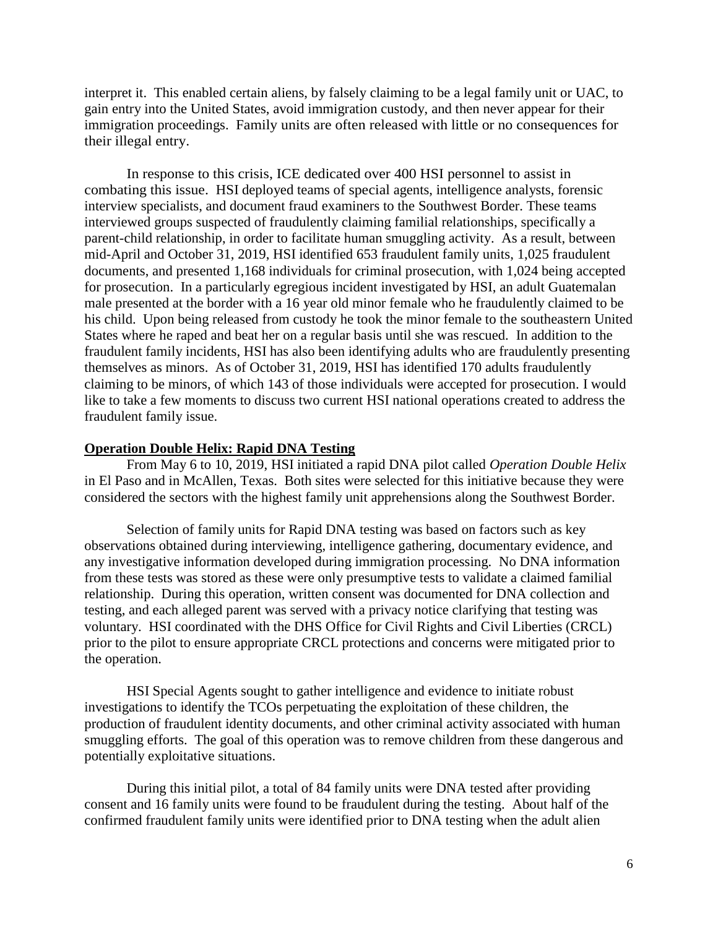interpret it. This enabled certain aliens, by falsely claiming to be a legal family unit or UAC, to gain entry into the United States, avoid immigration custody, and then never appear for their immigration proceedings. Family units are often released with little or no consequences for their illegal entry.

In response to this crisis, ICE dedicated over 400 HSI personnel to assist in combating this issue. HSI deployed teams of special agents, intelligence analysts, forensic interview specialists, and document fraud examiners to the Southwest Border. These teams interviewed groups suspected of fraudulently claiming familial relationships, specifically a parent-child relationship, in order to facilitate human smuggling activity. As a result, between mid-April and October 31, 2019, HSI identified 653 fraudulent family units, 1,025 fraudulent documents, and presented 1,168 individuals for criminal prosecution, with 1,024 being accepted for prosecution. In a particularly egregious incident investigated by HSI, an adult Guatemalan male presented at the border with a 16 year old minor female who he fraudulently claimed to be his child. Upon being released from custody he took the minor female to the southeastern United States where he raped and beat her on a regular basis until she was rescued. In addition to the fraudulent family incidents, HSI has also been identifying adults who are fraudulently presenting themselves as minors. As of October 31, 2019, HSI has identified 170 adults fraudulently claiming to be minors, of which 143 of those individuals were accepted for prosecution. I would like to take a few moments to discuss two current HSI national operations created to address the fraudulent family issue.

#### **Operation Double Helix: Rapid DNA Testing**

From May 6 to 10, 2019, HSI initiated a rapid DNA pilot called *Operation Double Helix* in El Paso and in McAllen, Texas. Both sites were selected for this initiative because they were considered the sectors with the highest family unit apprehensions along the Southwest Border.

Selection of family units for Rapid DNA testing was based on factors such as key observations obtained during interviewing, intelligence gathering, documentary evidence, and any investigative information developed during immigration processing. No DNA information from these tests was stored as these were only presumptive tests to validate a claimed familial relationship. During this operation, written consent was documented for DNA collection and testing, and each alleged parent was served with a privacy notice clarifying that testing was voluntary. HSI coordinated with the DHS Office for Civil Rights and Civil Liberties (CRCL) prior to the pilot to ensure appropriate CRCL protections and concerns were mitigated prior to the operation.

HSI Special Agents sought to gather intelligence and evidence to initiate robust investigations to identify the TCOs perpetuating the exploitation of these children, the production of fraudulent identity documents, and other criminal activity associated with human smuggling efforts. The goal of this operation was to remove children from these dangerous and potentially exploitative situations.

During this initial pilot, a total of 84 family units were DNA tested after providing consent and 16 family units were found to be fraudulent during the testing. About half of the confirmed fraudulent family units were identified prior to DNA testing when the adult alien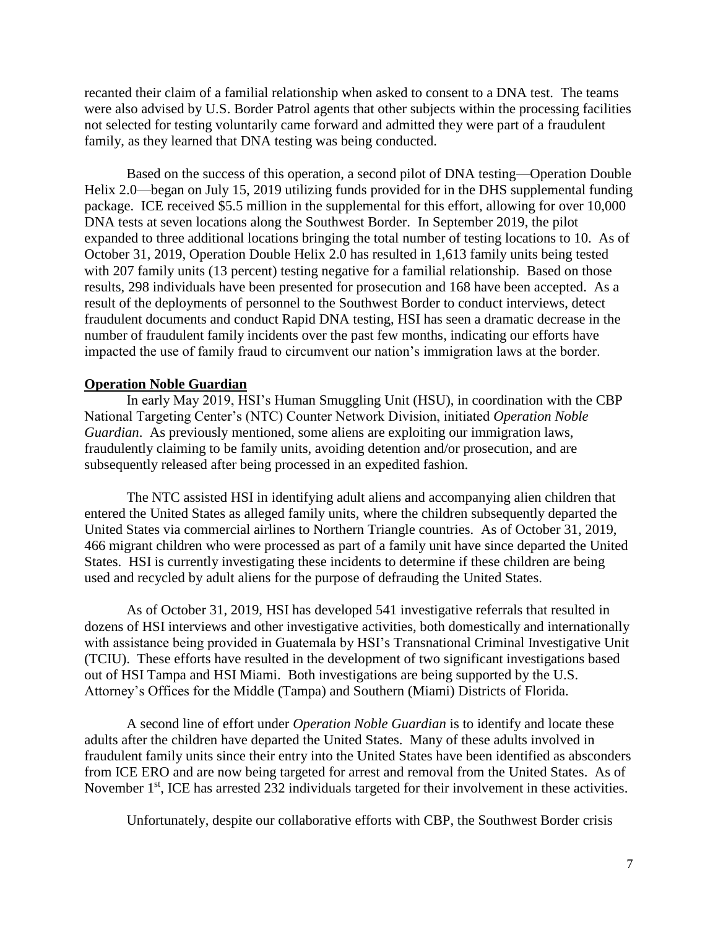recanted their claim of a familial relationship when asked to consent to a DNA test. The teams were also advised by U.S. Border Patrol agents that other subjects within the processing facilities not selected for testing voluntarily came forward and admitted they were part of a fraudulent family, as they learned that DNA testing was being conducted.

Based on the success of this operation, a second pilot of DNA testing—Operation Double Helix 2.0—began on July 15, 2019 utilizing funds provided for in the DHS supplemental funding package. ICE received \$5.5 million in the supplemental for this effort, allowing for over 10,000 DNA tests at seven locations along the Southwest Border. In September 2019, the pilot expanded to three additional locations bringing the total number of testing locations to 10. As of October 31, 2019, Operation Double Helix 2.0 has resulted in 1,613 family units being tested with 207 family units (13 percent) testing negative for a familial relationship. Based on those results, 298 individuals have been presented for prosecution and 168 have been accepted. As a result of the deployments of personnel to the Southwest Border to conduct interviews, detect fraudulent documents and conduct Rapid DNA testing, HSI has seen a dramatic decrease in the number of fraudulent family incidents over the past few months, indicating our efforts have impacted the use of family fraud to circumvent our nation's immigration laws at the border.

#### **Operation Noble Guardian**

In early May 2019, HSI's Human Smuggling Unit (HSU), in coordination with the CBP National Targeting Center's (NTC) Counter Network Division, initiated *Operation Noble Guardian*. As previously mentioned, some aliens are exploiting our immigration laws, fraudulently claiming to be family units, avoiding detention and/or prosecution, and are subsequently released after being processed in an expedited fashion.

The NTC assisted HSI in identifying adult aliens and accompanying alien children that entered the United States as alleged family units, where the children subsequently departed the United States via commercial airlines to Northern Triangle countries. As of October 31, 2019, 466 migrant children who were processed as part of a family unit have since departed the United States. HSI is currently investigating these incidents to determine if these children are being used and recycled by adult aliens for the purpose of defrauding the United States.

As of October 31, 2019, HSI has developed 541 investigative referrals that resulted in dozens of HSI interviews and other investigative activities, both domestically and internationally with assistance being provided in Guatemala by HSI's Transnational Criminal Investigative Unit (TCIU). These efforts have resulted in the development of two significant investigations based out of HSI Tampa and HSI Miami. Both investigations are being supported by the U.S. Attorney's Offices for the Middle (Tampa) and Southern (Miami) Districts of Florida.

A second line of effort under *Operation Noble Guardian* is to identify and locate these adults after the children have departed the United States. Many of these adults involved in fraudulent family units since their entry into the United States have been identified as absconders from ICE ERO and are now being targeted for arrest and removal from the United States. As of November 1<sup>st</sup>, ICE has arrested 232 individuals targeted for their involvement in these activities.

Unfortunately, despite our collaborative efforts with CBP, the Southwest Border crisis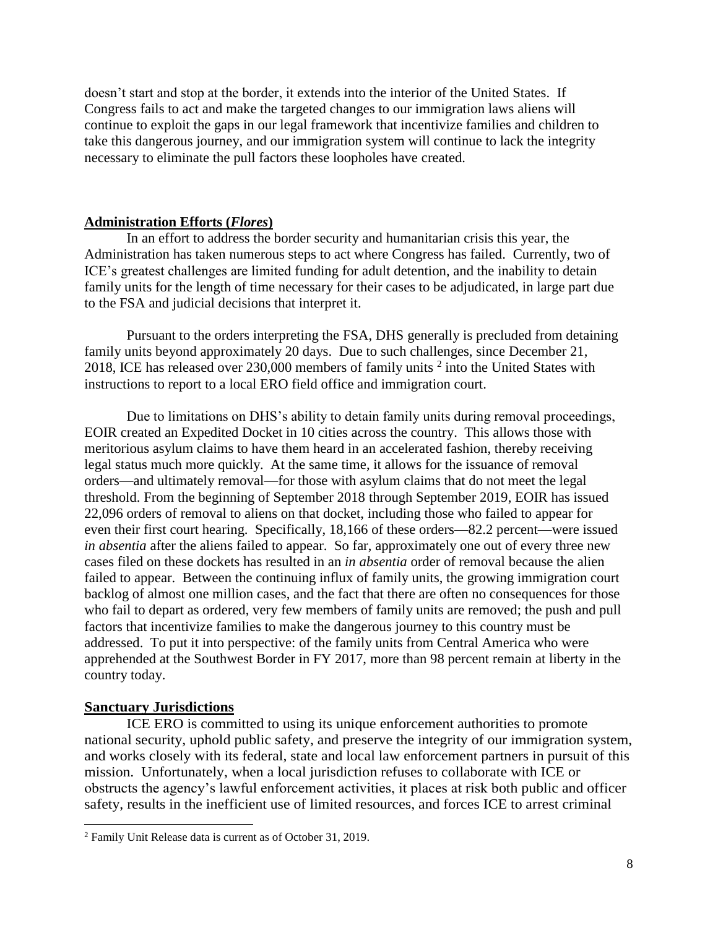doesn't start and stop at the border, it extends into the interior of the United States. If Congress fails to act and make the targeted changes to our immigration laws aliens will continue to exploit the gaps in our legal framework that incentivize families and children to take this dangerous journey, and our immigration system will continue to lack the integrity necessary to eliminate the pull factors these loopholes have created.

## **Administration Efforts (***Flores***)**

In an effort to address the border security and humanitarian crisis this year, the Administration has taken numerous steps to act where Congress has failed. Currently, two of ICE's greatest challenges are limited funding for adult detention, and the inability to detain family units for the length of time necessary for their cases to be adjudicated, in large part due to the FSA and judicial decisions that interpret it.

Pursuant to the orders interpreting the FSA, DHS generally is precluded from detaining family units beyond approximately 20 days. Due to such challenges, since December 21, 2018, ICE has released over 230,000 members of family units  $2$  into the United States with instructions to report to a local ERO field office and immigration court.

Due to limitations on DHS's ability to detain family units during removal proceedings, EOIR created an Expedited Docket in 10 cities across the country. This allows those with meritorious asylum claims to have them heard in an accelerated fashion, thereby receiving legal status much more quickly. At the same time, it allows for the issuance of removal orders—and ultimately removal—for those with asylum claims that do not meet the legal threshold. From the beginning of September 2018 through September 2019, EOIR has issued 22,096 orders of removal to aliens on that docket, including those who failed to appear for even their first court hearing. Specifically, 18,166 of these orders—82.2 percent—were issued *in absentia* after the aliens failed to appear. So far, approximately one out of every three new cases filed on these dockets has resulted in an *in absentia* order of removal because the alien failed to appear. Between the continuing influx of family units, the growing immigration court backlog of almost one million cases, and the fact that there are often no consequences for those who fail to depart as ordered, very few members of family units are removed; the push and pull factors that incentivize families to make the dangerous journey to this country must be addressed. To put it into perspective: of the family units from Central America who were apprehended at the Southwest Border in FY 2017, more than 98 percent remain at liberty in the country today.

## **Sanctuary Jurisdictions**

l

ICE ERO is committed to using its unique enforcement authorities to promote national security, uphold public safety, and preserve the integrity of our immigration system, and works closely with its federal, state and local law enforcement partners in pursuit of this mission. Unfortunately, when a local jurisdiction refuses to collaborate with ICE or obstructs the agency's lawful enforcement activities, it places at risk both public and officer safety, results in the inefficient use of limited resources, and forces ICE to arrest criminal

<sup>2</sup> Family Unit Release data is current as of October 31, 2019.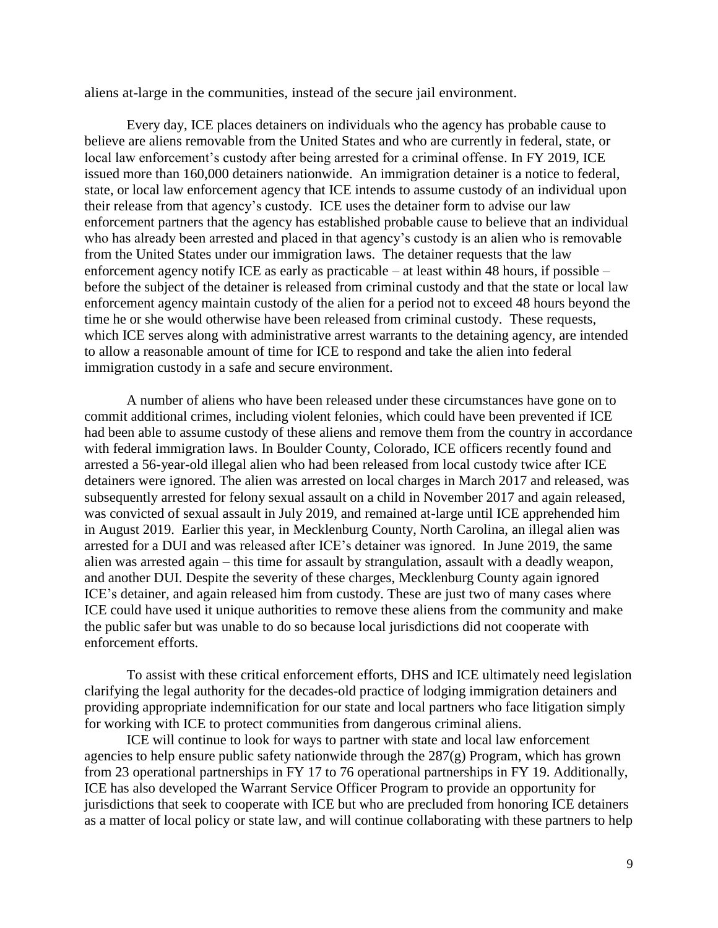aliens at-large in the communities, instead of the secure jail environment.

Every day, ICE places detainers on individuals who the agency has probable cause to believe are aliens removable from the United States and who are currently in federal, state, or local law enforcement's custody after being arrested for a criminal offense. In FY 2019, ICE issued more than 160,000 detainers nationwide. An immigration detainer is a notice to federal, state, or local law enforcement agency that ICE intends to assume custody of an individual upon their release from that agency's custody. ICE uses the detainer form to advise our law enforcement partners that the agency has established probable cause to believe that an individual who has already been arrested and placed in that agency's custody is an alien who is removable from the United States under our immigration laws. The detainer requests that the law enforcement agency notify ICE as early as practicable – at least within 48 hours, if possible – before the subject of the detainer is released from criminal custody and that the state or local law enforcement agency maintain custody of the alien for a period not to exceed 48 hours beyond the time he or she would otherwise have been released from criminal custody. These requests, which ICE serves along with administrative arrest warrants to the detaining agency, are intended to allow a reasonable amount of time for ICE to respond and take the alien into federal immigration custody in a safe and secure environment.

A number of aliens who have been released under these circumstances have gone on to commit additional crimes, including violent felonies, which could have been prevented if ICE had been able to assume custody of these aliens and remove them from the country in accordance with federal immigration laws. In Boulder County, Colorado, ICE officers recently found and arrested a 56-year-old illegal alien who had been released from local custody twice after ICE detainers were ignored. The alien was arrested on local charges in March 2017 and released, was subsequently arrested for felony sexual assault on a child in November 2017 and again released, was convicted of sexual assault in July 2019, and remained at-large until ICE apprehended him in August 2019. Earlier this year, in Mecklenburg County, North Carolina, an illegal alien was arrested for a DUI and was released after ICE's detainer was ignored. In June 2019, the same alien was arrested again – this time for assault by strangulation, assault with a deadly weapon, and another DUI. Despite the severity of these charges, Mecklenburg County again ignored ICE's detainer, and again released him from custody. These are just two of many cases where ICE could have used it unique authorities to remove these aliens from the community and make the public safer but was unable to do so because local jurisdictions did not cooperate with enforcement efforts.

To assist with these critical enforcement efforts, DHS and ICE ultimately need legislation clarifying the legal authority for the decades-old practice of lodging immigration detainers and providing appropriate indemnification for our state and local partners who face litigation simply for working with ICE to protect communities from dangerous criminal aliens.

ICE will continue to look for ways to partner with state and local law enforcement agencies to help ensure public safety nationwide through the 287(g) Program, which has grown from 23 operational partnerships in FY 17 to 76 operational partnerships in FY 19. Additionally, ICE has also developed the Warrant Service Officer Program to provide an opportunity for jurisdictions that seek to cooperate with ICE but who are precluded from honoring ICE detainers as a matter of local policy or state law, and will continue collaborating with these partners to help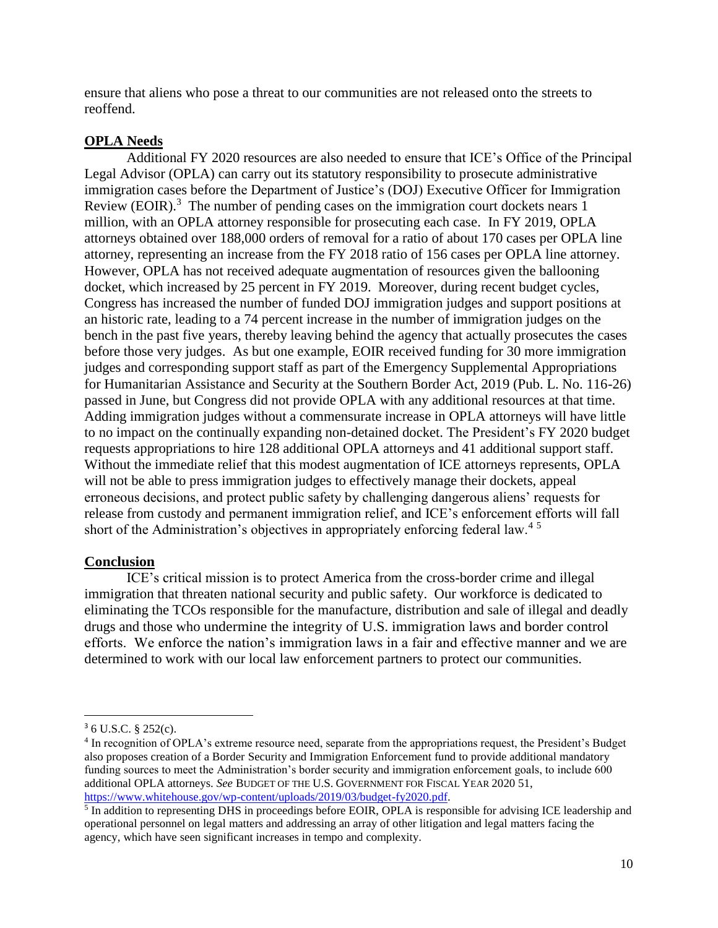ensure that aliens who pose a threat to our communities are not released onto the streets to reoffend.

#### **OPLA Needs**

Additional FY 2020 resources are also needed to ensure that ICE's Office of the Principal Legal Advisor (OPLA) can carry out its statutory responsibility to prosecute administrative immigration cases before the Department of Justice's (DOJ) Executive Officer for Immigration Review (EOIR).<sup>3</sup> The number of pending cases on the immigration court dockets nears  $\overline{1}$ million, with an OPLA attorney responsible for prosecuting each case. In FY 2019, OPLA attorneys obtained over 188,000 orders of removal for a ratio of about 170 cases per OPLA line attorney, representing an increase from the FY 2018 ratio of 156 cases per OPLA line attorney. However, OPLA has not received adequate augmentation of resources given the ballooning docket, which increased by 25 percent in FY 2019. Moreover, during recent budget cycles, Congress has increased the number of funded DOJ immigration judges and support positions at an historic rate, leading to a 74 percent increase in the number of immigration judges on the bench in the past five years, thereby leaving behind the agency that actually prosecutes the cases before those very judges. As but one example, EOIR received funding for 30 more immigration judges and corresponding support staff as part of the Emergency Supplemental Appropriations for Humanitarian Assistance and Security at the Southern Border Act, 2019 (Pub. L. No. 116-26) passed in June, but Congress did not provide OPLA with any additional resources at that time. Adding immigration judges without a commensurate increase in OPLA attorneys will have little to no impact on the continually expanding non-detained docket. The President's FY 2020 budget requests appropriations to hire 128 additional OPLA attorneys and 41 additional support staff. Without the immediate relief that this modest augmentation of ICE attorneys represents, OPLA will not be able to press immigration judges to effectively manage their dockets, appeal erroneous decisions, and protect public safety by challenging dangerous aliens' requests for release from custody and permanent immigration relief, and ICE's enforcement efforts will fall short of the Administration's objectives in appropriately enforcing federal law.<sup>45</sup>

#### **Conclusion**

ICE's critical mission is to protect America from the cross-border crime and illegal immigration that threaten national security and public safety. Our workforce is dedicated to eliminating the TCOs responsible for the manufacture, distribution and sale of illegal and deadly drugs and those who undermine the integrity of U.S. immigration laws and border control efforts. We enforce the nation's immigration laws in a fair and effective manner and we are determined to work with our local law enforcement partners to protect our communities.

l

<sup>3</sup> 6 U.S.C. § 252(c).

<sup>4</sup> In recognition of OPLA's extreme resource need, separate from the appropriations request, the President's Budget also proposes creation of a Border Security and Immigration Enforcement fund to provide additional mandatory funding sources to meet the Administration's border security and immigration enforcement goals, to include 600 additional OPLA attorneys. *See* BUDGET OF THE U.S. GOVERNMENT FOR FISCAL YEAR 2020 51, [https://www.whitehouse.gov/wp-content/uploads/2019/03/budget-fy2020.pdf.](https://www.whitehouse.gov/wp-content/uploads/2019/03/budget-fy2020.pdf)

<sup>&</sup>lt;sup>5</sup> In addition to representing DHS in proceedings before EOIR, OPLA is responsible for advising ICE leadership and operational personnel on legal matters and addressing an array of other litigation and legal matters facing the agency, which have seen significant increases in tempo and complexity.